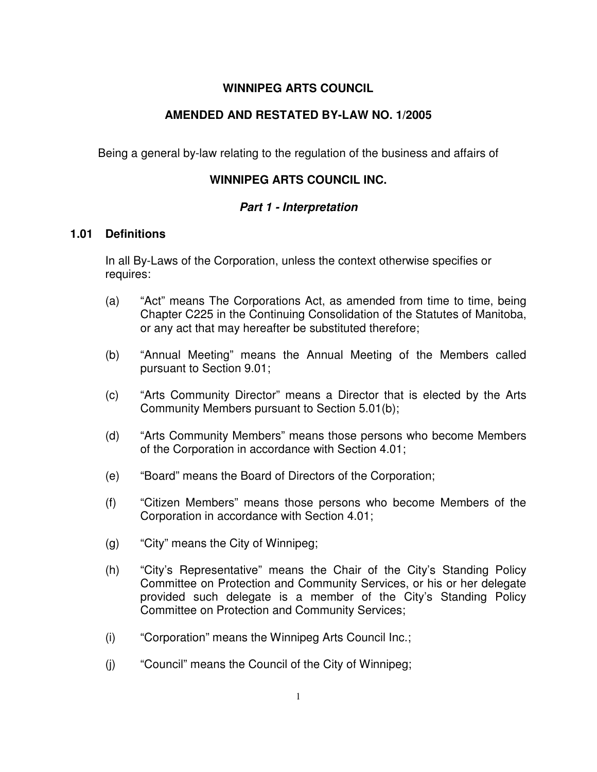# **WINNIPEG ARTS COUNCIL**

# **AMENDED AND RESTATED BY-LAW NO. 1/2005**

Being a general by-law relating to the regulation of the business and affairs of

# **WINNIPEG ARTS COUNCIL INC.**

## **Part 1 - Interpretation**

### **1.01 Definitions**

In all By-Laws of the Corporation, unless the context otherwise specifies or requires:

- (a) "Act" means The Corporations Act, as amended from time to time, being Chapter C225 in the Continuing Consolidation of the Statutes of Manitoba, or any act that may hereafter be substituted therefore;
- (b) "Annual Meeting" means the Annual Meeting of the Members called pursuant to Section 9.01;
- (c) "Arts Community Director" means a Director that is elected by the Arts Community Members pursuant to Section 5.01(b);
- (d) "Arts Community Members" means those persons who become Members of the Corporation in accordance with Section 4.01;
- (e) "Board" means the Board of Directors of the Corporation;
- (f) "Citizen Members" means those persons who become Members of the Corporation in accordance with Section 4.01;
- (g) "City" means the City of Winnipeg;
- (h) "City's Representative" means the Chair of the City's Standing Policy Committee on Protection and Community Services, or his or her delegate provided such delegate is a member of the City's Standing Policy Committee on Protection and Community Services;
- (i) "Corporation" means the Winnipeg Arts Council Inc.;
- (j) "Council" means the Council of the City of Winnipeg;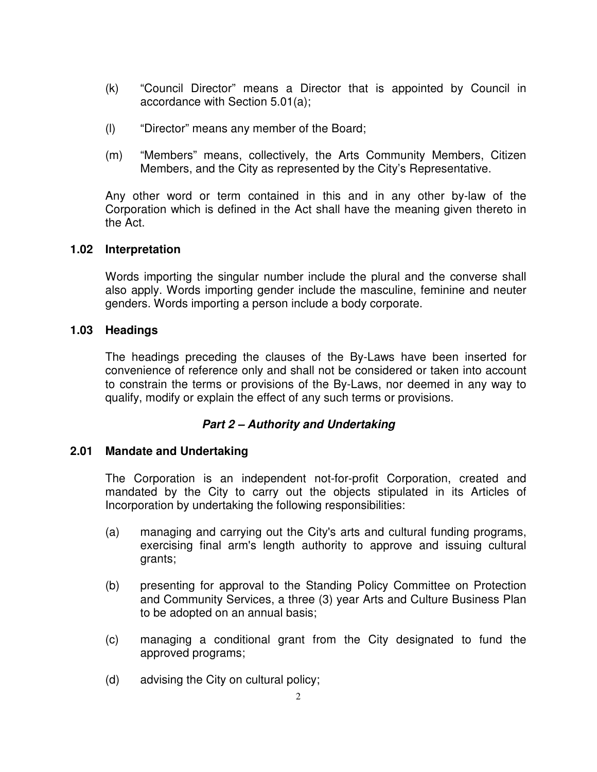- (k) "Council Director" means a Director that is appointed by Council in accordance with Section 5.01(a);
- (l) "Director" means any member of the Board;
- (m) "Members" means, collectively, the Arts Community Members, Citizen Members, and the City as represented by the City's Representative.

Any other word or term contained in this and in any other by-law of the Corporation which is defined in the Act shall have the meaning given thereto in the Act.

## **1.02 Interpretation**

Words importing the singular number include the plural and the converse shall also apply. Words importing gender include the masculine, feminine and neuter genders. Words importing a person include a body corporate.

## **1.03 Headings**

The headings preceding the clauses of the By-Laws have been inserted for convenience of reference only and shall not be considered or taken into account to constrain the terms or provisions of the By-Laws, nor deemed in any way to qualify, modify or explain the effect of any such terms or provisions.

# **Part 2 – Authority and Undertaking**

## **2.01 Mandate and Undertaking**

The Corporation is an independent not-for-profit Corporation, created and mandated by the City to carry out the objects stipulated in its Articles of Incorporation by undertaking the following responsibilities:

- (a) managing and carrying out the City's arts and cultural funding programs, exercising final arm's length authority to approve and issuing cultural grants;
- (b) presenting for approval to the Standing Policy Committee on Protection and Community Services, a three (3) year Arts and Culture Business Plan to be adopted on an annual basis;
- (c) managing a conditional grant from the City designated to fund the approved programs;
- (d) advising the City on cultural policy;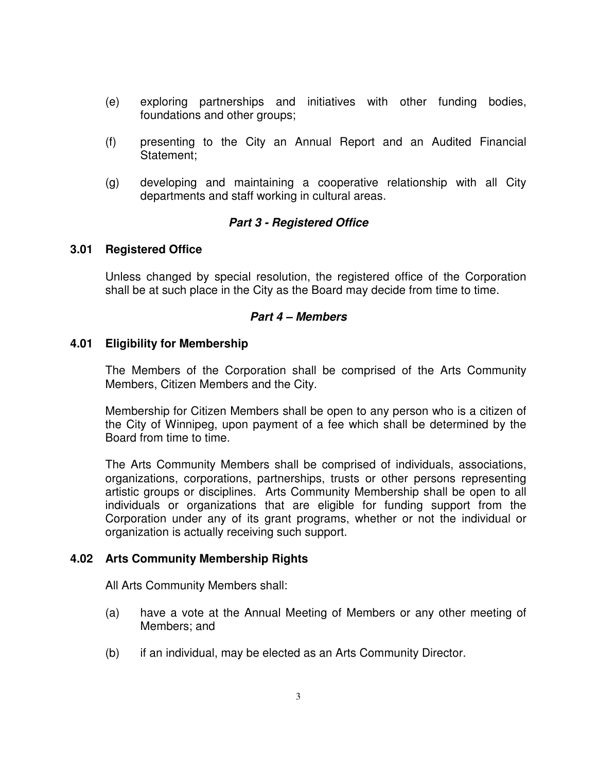- (e) exploring partnerships and initiatives with other funding bodies, foundations and other groups;
- (f) presenting to the City an Annual Report and an Audited Financial Statement;
- (g) developing and maintaining a cooperative relationship with all City departments and staff working in cultural areas.

## **Part 3 - Registered Office**

### **3.01 Registered Office**

Unless changed by special resolution, the registered office of the Corporation shall be at such place in the City as the Board may decide from time to time.

### **Part 4 – Members**

### **4.01 Eligibility for Membership**

The Members of the Corporation shall be comprised of the Arts Community Members, Citizen Members and the City.

Membership for Citizen Members shall be open to any person who is a citizen of the City of Winnipeg, upon payment of a fee which shall be determined by the Board from time to time.

The Arts Community Members shall be comprised of individuals, associations, organizations, corporations, partnerships, trusts or other persons representing artistic groups or disciplines. Arts Community Membership shall be open to all individuals or organizations that are eligible for funding support from the Corporation under any of its grant programs, whether or not the individual or organization is actually receiving such support.

## **4.02 Arts Community Membership Rights**

All Arts Community Members shall:

- (a) have a vote at the Annual Meeting of Members or any other meeting of Members; and
- (b) if an individual, may be elected as an Arts Community Director.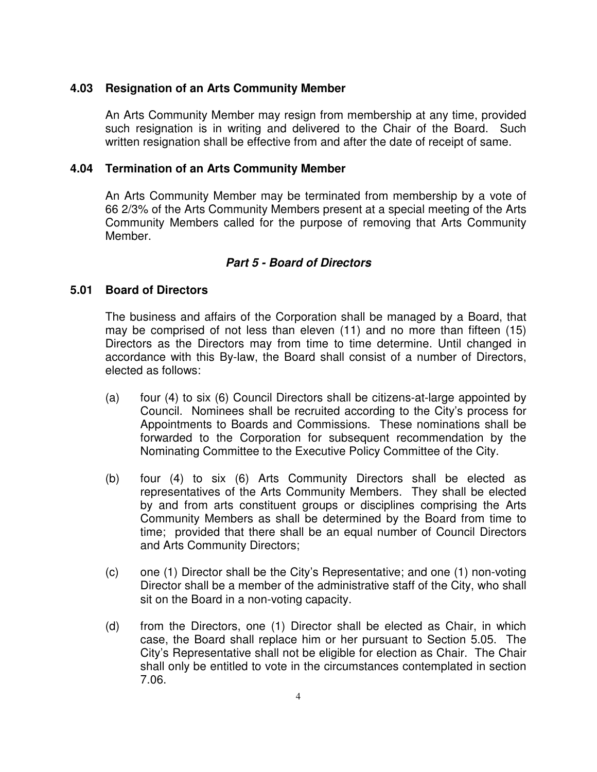## **4.03 Resignation of an Arts Community Member**

An Arts Community Member may resign from membership at any time, provided such resignation is in writing and delivered to the Chair of the Board. Such written resignation shall be effective from and after the date of receipt of same.

### **4.04 Termination of an Arts Community Member**

An Arts Community Member may be terminated from membership by a vote of 66 2/3% of the Arts Community Members present at a special meeting of the Arts Community Members called for the purpose of removing that Arts Community Member.

### **Part 5 - Board of Directors**

#### **5.01 Board of Directors**

The business and affairs of the Corporation shall be managed by a Board, that may be comprised of not less than eleven (11) and no more than fifteen (15) Directors as the Directors may from time to time determine. Until changed in accordance with this By-law, the Board shall consist of a number of Directors, elected as follows:

- (a) four (4) to six (6) Council Directors shall be citizens-at-large appointed by Council. Nominees shall be recruited according to the City's process for Appointments to Boards and Commissions. These nominations shall be forwarded to the Corporation for subsequent recommendation by the Nominating Committee to the Executive Policy Committee of the City.
- (b) four (4) to six (6) Arts Community Directors shall be elected as representatives of the Arts Community Members. They shall be elected by and from arts constituent groups or disciplines comprising the Arts Community Members as shall be determined by the Board from time to time; provided that there shall be an equal number of Council Directors and Arts Community Directors;
- (c) one (1) Director shall be the City's Representative; and one (1) non-voting Director shall be a member of the administrative staff of the City, who shall sit on the Board in a non-voting capacity.
- (d) from the Directors, one (1) Director shall be elected as Chair, in which case, the Board shall replace him or her pursuant to Section 5.05. The City's Representative shall not be eligible for election as Chair. The Chair shall only be entitled to vote in the circumstances contemplated in section 7.06.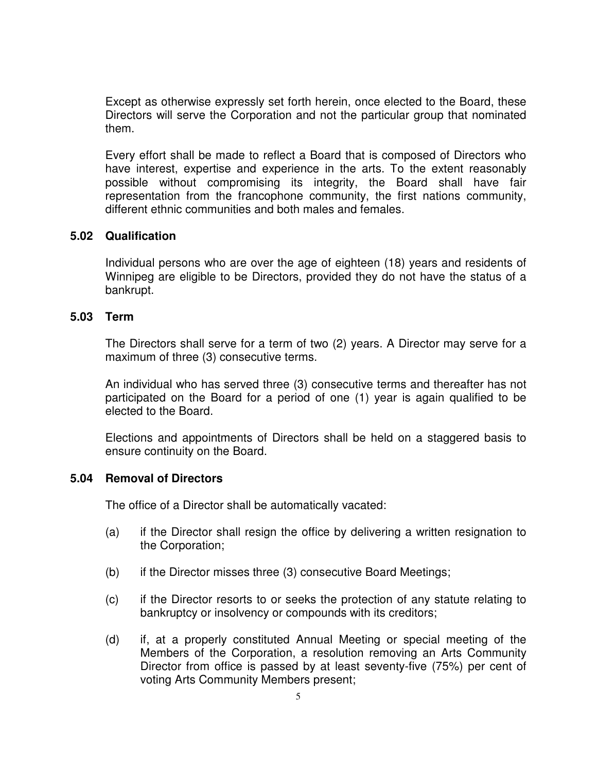Except as otherwise expressly set forth herein, once elected to the Board, these Directors will serve the Corporation and not the particular group that nominated them.

Every effort shall be made to reflect a Board that is composed of Directors who have interest, expertise and experience in the arts. To the extent reasonably possible without compromising its integrity, the Board shall have fair representation from the francophone community, the first nations community, different ethnic communities and both males and females.

### **5.02 Qualification**

Individual persons who are over the age of eighteen (18) years and residents of Winnipeg are eligible to be Directors, provided they do not have the status of a bankrupt.

## **5.03 Term**

The Directors shall serve for a term of two (2) years. A Director may serve for a maximum of three (3) consecutive terms.

An individual who has served three (3) consecutive terms and thereafter has not participated on the Board for a period of one (1) year is again qualified to be elected to the Board.

Elections and appointments of Directors shall be held on a staggered basis to ensure continuity on the Board.

## **5.04 Removal of Directors**

The office of a Director shall be automatically vacated:

- (a) if the Director shall resign the office by delivering a written resignation to the Corporation;
- (b) if the Director misses three (3) consecutive Board Meetings;
- (c) if the Director resorts to or seeks the protection of any statute relating to bankruptcy or insolvency or compounds with its creditors;
- (d) if, at a properly constituted Annual Meeting or special meeting of the Members of the Corporation, a resolution removing an Arts Community Director from office is passed by at least seventy-five (75%) per cent of voting Arts Community Members present;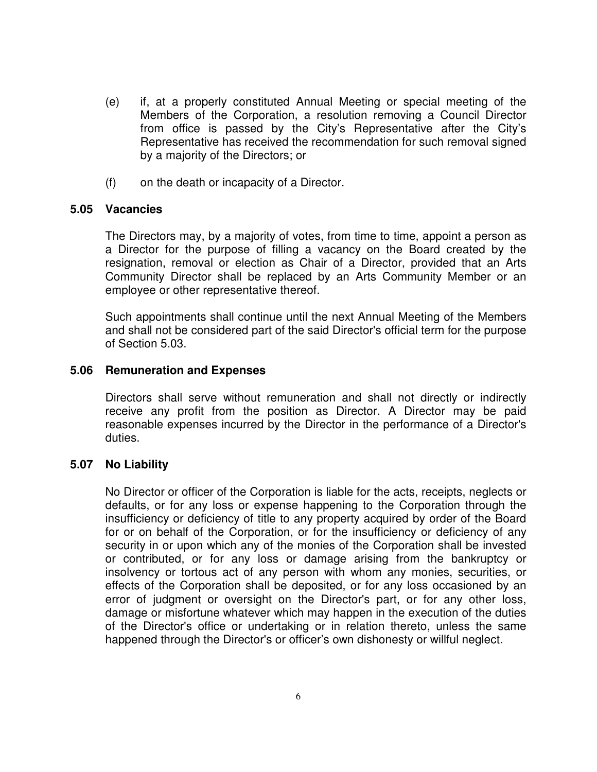- (e) if, at a properly constituted Annual Meeting or special meeting of the Members of the Corporation, a resolution removing a Council Director from office is passed by the City's Representative after the City's Representative has received the recommendation for such removal signed by a majority of the Directors; or
- (f) on the death or incapacity of a Director.

### **5.05 Vacancies**

The Directors may, by a majority of votes, from time to time, appoint a person as a Director for the purpose of filling a vacancy on the Board created by the resignation, removal or election as Chair of a Director, provided that an Arts Community Director shall be replaced by an Arts Community Member or an employee or other representative thereof.

Such appointments shall continue until the next Annual Meeting of the Members and shall not be considered part of the said Director's official term for the purpose of Section 5.03.

#### **5.06 Remuneration and Expenses**

Directors shall serve without remuneration and shall not directly or indirectly receive any profit from the position as Director. A Director may be paid reasonable expenses incurred by the Director in the performance of a Director's duties.

#### **5.07 No Liability**

No Director or officer of the Corporation is liable for the acts, receipts, neglects or defaults, or for any loss or expense happening to the Corporation through the insufficiency or deficiency of title to any property acquired by order of the Board for or on behalf of the Corporation, or for the insufficiency or deficiency of any security in or upon which any of the monies of the Corporation shall be invested or contributed, or for any loss or damage arising from the bankruptcy or insolvency or tortous act of any person with whom any monies, securities, or effects of the Corporation shall be deposited, or for any loss occasioned by an error of judgment or oversight on the Director's part, or for any other loss, damage or misfortune whatever which may happen in the execution of the duties of the Director's office or undertaking or in relation thereto, unless the same happened through the Director's or officer's own dishonesty or willful neglect.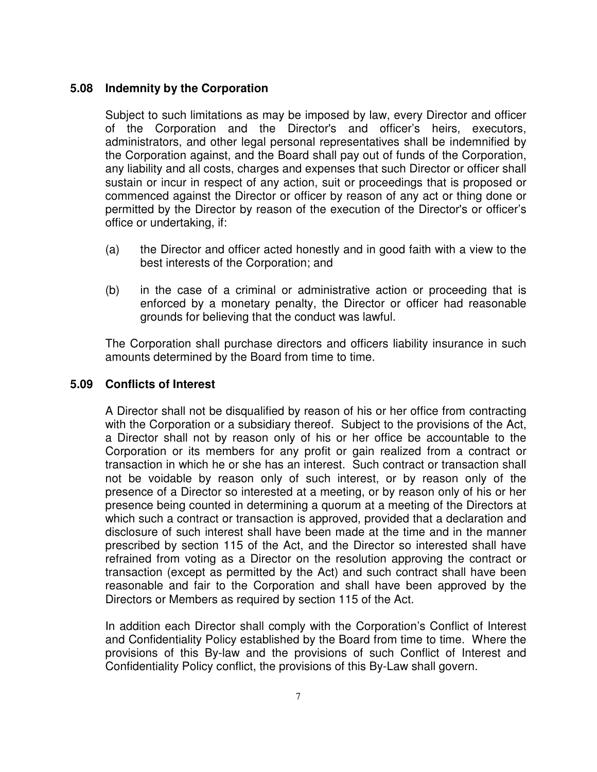## **5.08 Indemnity by the Corporation**

Subject to such limitations as may be imposed by law, every Director and officer of the Corporation and the Director's and officer's heirs, executors, administrators, and other legal personal representatives shall be indemnified by the Corporation against, and the Board shall pay out of funds of the Corporation, any liability and all costs, charges and expenses that such Director or officer shall sustain or incur in respect of any action, suit or proceedings that is proposed or commenced against the Director or officer by reason of any act or thing done or permitted by the Director by reason of the execution of the Director's or officer's office or undertaking, if:

- (a) the Director and officer acted honestly and in good faith with a view to the best interests of the Corporation; and
- (b) in the case of a criminal or administrative action or proceeding that is enforced by a monetary penalty, the Director or officer had reasonable grounds for believing that the conduct was lawful.

The Corporation shall purchase directors and officers liability insurance in such amounts determined by the Board from time to time.

### **5.09 Conflicts of Interest**

A Director shall not be disqualified by reason of his or her office from contracting with the Corporation or a subsidiary thereof. Subject to the provisions of the Act, a Director shall not by reason only of his or her office be accountable to the Corporation or its members for any profit or gain realized from a contract or transaction in which he or she has an interest. Such contract or transaction shall not be voidable by reason only of such interest, or by reason only of the presence of a Director so interested at a meeting, or by reason only of his or her presence being counted in determining a quorum at a meeting of the Directors at which such a contract or transaction is approved, provided that a declaration and disclosure of such interest shall have been made at the time and in the manner prescribed by section 115 of the Act, and the Director so interested shall have refrained from voting as a Director on the resolution approving the contract or transaction (except as permitted by the Act) and such contract shall have been reasonable and fair to the Corporation and shall have been approved by the Directors or Members as required by section 115 of the Act.

In addition each Director shall comply with the Corporation's Conflict of Interest and Confidentiality Policy established by the Board from time to time. Where the provisions of this By-law and the provisions of such Conflict of Interest and Confidentiality Policy conflict, the provisions of this By-Law shall govern.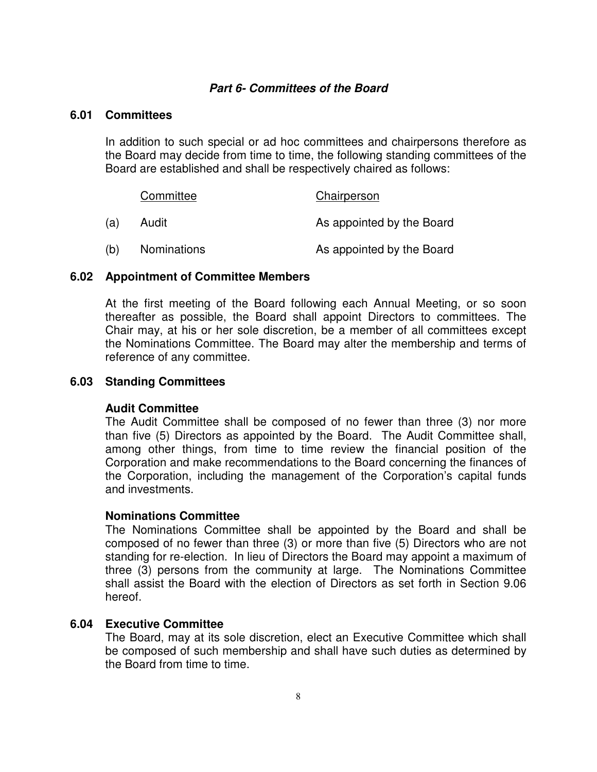### **Part 6- Committees of the Board**

#### **6.01 Committees**

In addition to such special or ad hoc committees and chairpersons therefore as the Board may decide from time to time, the following standing committees of the Board are established and shall be respectively chaired as follows:

|     | Committee   | Chairperson               |
|-----|-------------|---------------------------|
| (a) | Audit       | As appointed by the Board |
| (b) | Nominations | As appointed by the Board |

#### **6.02 Appointment of Committee Members**

At the first meeting of the Board following each Annual Meeting, or so soon thereafter as possible, the Board shall appoint Directors to committees. The Chair may, at his or her sole discretion, be a member of all committees except the Nominations Committee. The Board may alter the membership and terms of reference of any committee.

#### **6.03 Standing Committees**

#### **Audit Committee**

 The Audit Committee shall be composed of no fewer than three (3) nor more than five (5) Directors as appointed by the Board. The Audit Committee shall, among other things, from time to time review the financial position of the Corporation and make recommendations to the Board concerning the finances of the Corporation, including the management of the Corporation's capital funds and investments.

#### **Nominations Committee**

 The Nominations Committee shall be appointed by the Board and shall be composed of no fewer than three (3) or more than five (5) Directors who are not standing for re-election. In lieu of Directors the Board may appoint a maximum of three (3) persons from the community at large. The Nominations Committee shall assist the Board with the election of Directors as set forth in Section 9.06 hereof.

### **6.04 Executive Committee**

The Board, may at its sole discretion, elect an Executive Committee which shall be composed of such membership and shall have such duties as determined by the Board from time to time.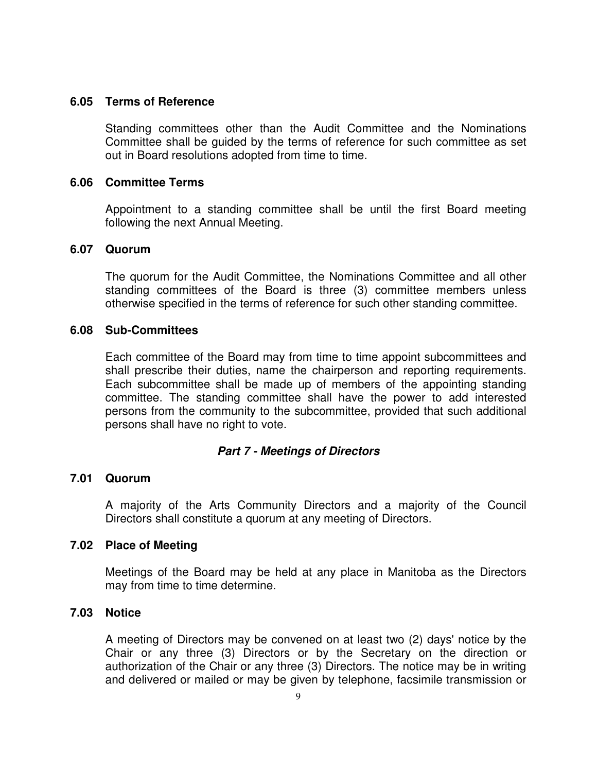### **6.05 Terms of Reference**

Standing committees other than the Audit Committee and the Nominations Committee shall be guided by the terms of reference for such committee as set out in Board resolutions adopted from time to time.

#### **6.06 Committee Terms**

Appointment to a standing committee shall be until the first Board meeting following the next Annual Meeting.

### **6.07 Quorum**

The quorum for the Audit Committee, the Nominations Committee and all other standing committees of the Board is three (3) committee members unless otherwise specified in the terms of reference for such other standing committee.

#### **6.08 Sub-Committees**

Each committee of the Board may from time to time appoint subcommittees and shall prescribe their duties, name the chairperson and reporting requirements. Each subcommittee shall be made up of members of the appointing standing committee. The standing committee shall have the power to add interested persons from the community to the subcommittee, provided that such additional persons shall have no right to vote.

#### **Part 7 - Meetings of Directors**

#### **7.01 Quorum**

A majority of the Arts Community Directors and a majority of the Council Directors shall constitute a quorum at any meeting of Directors.

#### **7.02 Place of Meeting**

Meetings of the Board may be held at any place in Manitoba as the Directors may from time to time determine.

### **7.03 Notice**

A meeting of Directors may be convened on at least two (2) days' notice by the Chair or any three (3) Directors or by the Secretary on the direction or authorization of the Chair or any three (3) Directors. The notice may be in writing and delivered or mailed or may be given by telephone, facsimile transmission or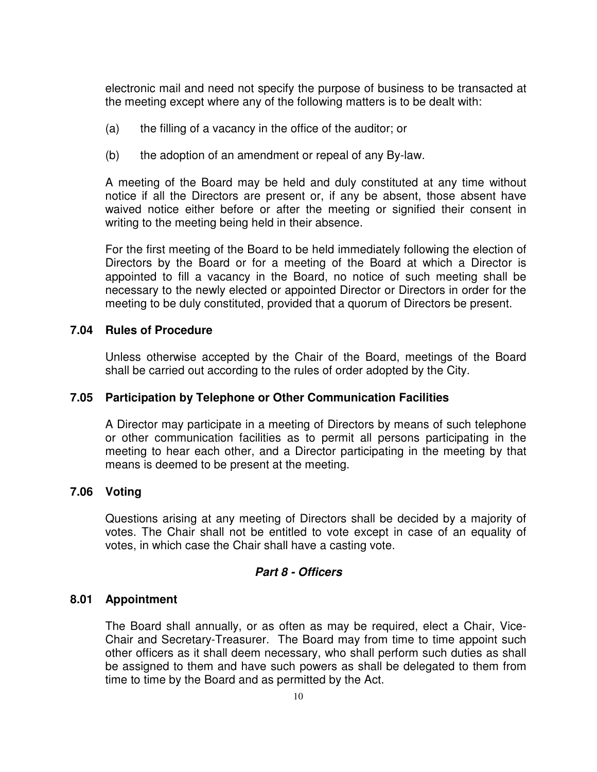electronic mail and need not specify the purpose of business to be transacted at the meeting except where any of the following matters is to be dealt with:

- (a) the filling of a vacancy in the office of the auditor; or
- (b) the adoption of an amendment or repeal of any By-law.

A meeting of the Board may be held and duly constituted at any time without notice if all the Directors are present or, if any be absent, those absent have waived notice either before or after the meeting or signified their consent in writing to the meeting being held in their absence.

For the first meeting of the Board to be held immediately following the election of Directors by the Board or for a meeting of the Board at which a Director is appointed to fill a vacancy in the Board, no notice of such meeting shall be necessary to the newly elected or appointed Director or Directors in order for the meeting to be duly constituted, provided that a quorum of Directors be present.

### **7.04 Rules of Procedure**

Unless otherwise accepted by the Chair of the Board, meetings of the Board shall be carried out according to the rules of order adopted by the City.

## **7.05 Participation by Telephone or Other Communication Facilities**

A Director may participate in a meeting of Directors by means of such telephone or other communication facilities as to permit all persons participating in the meeting to hear each other, and a Director participating in the meeting by that means is deemed to be present at the meeting.

## **7.06 Voting**

Questions arising at any meeting of Directors shall be decided by a majority of votes. The Chair shall not be entitled to vote except in case of an equality of votes, in which case the Chair shall have a casting vote.

#### **Part 8 - Officers**

## **8.01 Appointment**

The Board shall annually, or as often as may be required, elect a Chair, Vice-Chair and Secretary-Treasurer. The Board may from time to time appoint such other officers as it shall deem necessary, who shall perform such duties as shall be assigned to them and have such powers as shall be delegated to them from time to time by the Board and as permitted by the Act.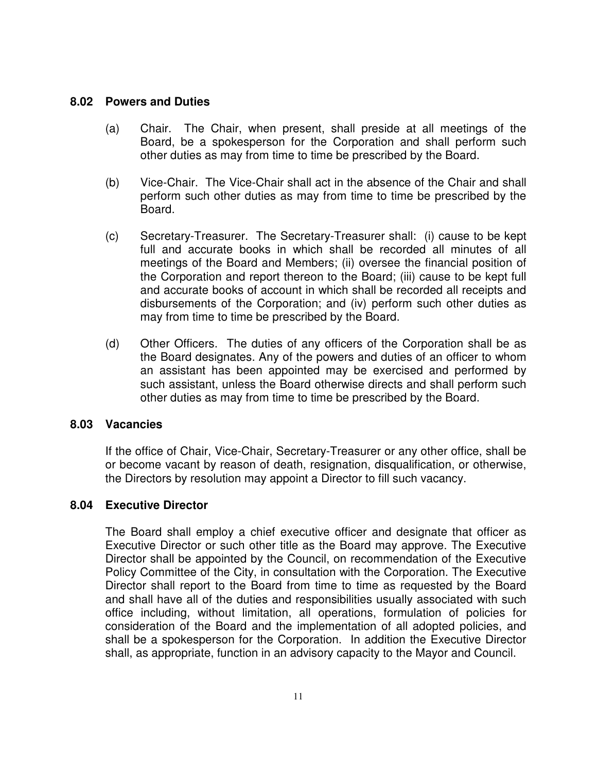### **8.02 Powers and Duties**

- (a) Chair. The Chair, when present, shall preside at all meetings of the Board, be a spokesperson for the Corporation and shall perform such other duties as may from time to time be prescribed by the Board.
- (b) Vice-Chair. The Vice-Chair shall act in the absence of the Chair and shall perform such other duties as may from time to time be prescribed by the Board.
- (c) Secretary-Treasurer. The Secretary-Treasurer shall: (i) cause to be kept full and accurate books in which shall be recorded all minutes of all meetings of the Board and Members; (ii) oversee the financial position of the Corporation and report thereon to the Board; (iii) cause to be kept full and accurate books of account in which shall be recorded all receipts and disbursements of the Corporation; and (iv) perform such other duties as may from time to time be prescribed by the Board.
- (d) Other Officers. The duties of any officers of the Corporation shall be as the Board designates. Any of the powers and duties of an officer to whom an assistant has been appointed may be exercised and performed by such assistant, unless the Board otherwise directs and shall perform such other duties as may from time to time be prescribed by the Board.

#### **8.03 Vacancies**

If the office of Chair, Vice-Chair, Secretary-Treasurer or any other office, shall be or become vacant by reason of death, resignation, disqualification, or otherwise, the Directors by resolution may appoint a Director to fill such vacancy.

## **8.04 Executive Director**

The Board shall employ a chief executive officer and designate that officer as Executive Director or such other title as the Board may approve. The Executive Director shall be appointed by the Council, on recommendation of the Executive Policy Committee of the City, in consultation with the Corporation. The Executive Director shall report to the Board from time to time as requested by the Board and shall have all of the duties and responsibilities usually associated with such office including, without limitation, all operations, formulation of policies for consideration of the Board and the implementation of all adopted policies, and shall be a spokesperson for the Corporation. In addition the Executive Director shall, as appropriate, function in an advisory capacity to the Mayor and Council.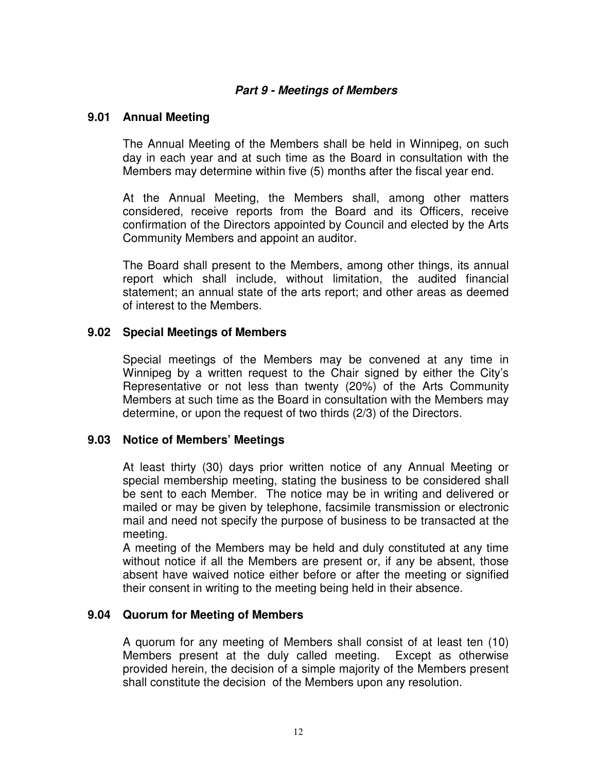# **Part 9 - Meetings of Members**

### **9.01 Annual Meeting**

The Annual Meeting of the Members shall be held in Winnipeg, on such day in each year and at such time as the Board in consultation with the Members may determine within five (5) months after the fiscal year end.

At the Annual Meeting, the Members shall, among other matters considered, receive reports from the Board and its Officers, receive confirmation of the Directors appointed by Council and elected by the Arts Community Members and appoint an auditor.

The Board shall present to the Members, among other things, its annual report which shall include, without limitation, the audited financial statement; an annual state of the arts report; and other areas as deemed of interest to the Members.

### **9.02 Special Meetings of Members**

Special meetings of the Members may be convened at any time in Winnipeg by a written request to the Chair signed by either the City's Representative or not less than twenty (20%) of the Arts Community Members at such time as the Board in consultation with the Members may determine, or upon the request of two thirds (2/3) of the Directors.

## **9.03 Notice of Members' Meetings**

At least thirty (30) days prior written notice of any Annual Meeting or special membership meeting, stating the business to be considered shall be sent to each Member. The notice may be in writing and delivered or mailed or may be given by telephone, facsimile transmission or electronic mail and need not specify the purpose of business to be transacted at the meeting.

A meeting of the Members may be held and duly constituted at any time without notice if all the Members are present or, if any be absent, those absent have waived notice either before or after the meeting or signified their consent in writing to the meeting being held in their absence.

## **9.04 Quorum for Meeting of Members**

A quorum for any meeting of Members shall consist of at least ten (10) Members present at the duly called meeting. Except as otherwise provided herein, the decision of a simple majority of the Members present shall constitute the decision of the Members upon any resolution.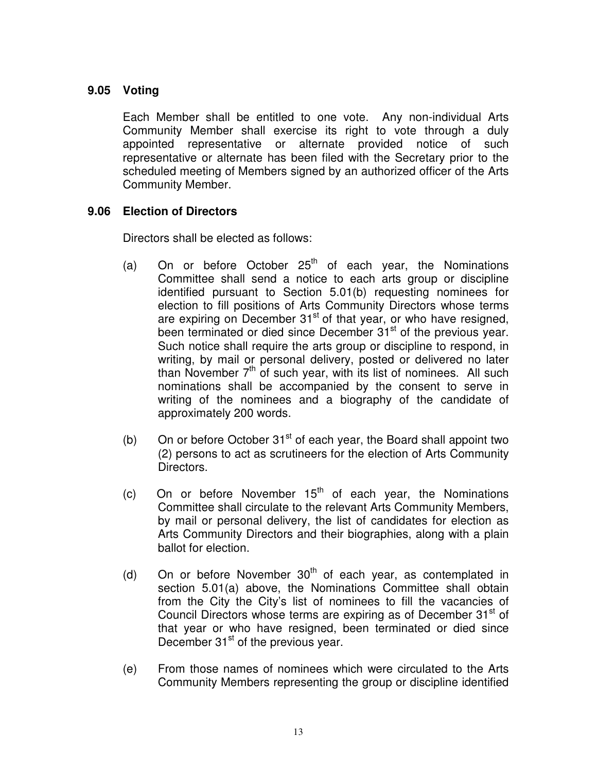# **9.05 Voting**

Each Member shall be entitled to one vote. Any non-individual Arts Community Member shall exercise its right to vote through a duly appointed representative or alternate provided notice of such representative or alternate has been filed with the Secretary prior to the scheduled meeting of Members signed by an authorized officer of the Arts Community Member.

## **9.06 Election of Directors**

Directors shall be elected as follows:

- (a) On or before October  $25<sup>th</sup>$  of each year, the Nominations Committee shall send a notice to each arts group or discipline identified pursuant to Section 5.01(b) requesting nominees for election to fill positions of Arts Community Directors whose terms are expiring on December  $31<sup>st</sup>$  of that year, or who have resigned, been terminated or died since December 31<sup>st</sup> of the previous year. Such notice shall require the arts group or discipline to respond, in writing, by mail or personal delivery, posted or delivered no later than November  $7<sup>th</sup>$  of such year, with its list of nominees. All such nominations shall be accompanied by the consent to serve in writing of the nominees and a biography of the candidate of approximately 200 words.
- (b) On or before October  $31<sup>st</sup>$  of each year, the Board shall appoint two (2) persons to act as scrutineers for the election of Arts Community Directors.
- (c) On or before November  $15<sup>th</sup>$  of each year, the Nominations Committee shall circulate to the relevant Arts Community Members, by mail or personal delivery, the list of candidates for election as Arts Community Directors and their biographies, along with a plain ballot for election.
- (d) On or before November  $30<sup>th</sup>$  of each year, as contemplated in section 5.01(a) above, the Nominations Committee shall obtain from the City the City's list of nominees to fill the vacancies of Council Directors whose terms are expiring as of December  $31<sup>st</sup>$  of that year or who have resigned, been terminated or died since December  $31<sup>st</sup>$  of the previous vear.
- (e) From those names of nominees which were circulated to the Arts Community Members representing the group or discipline identified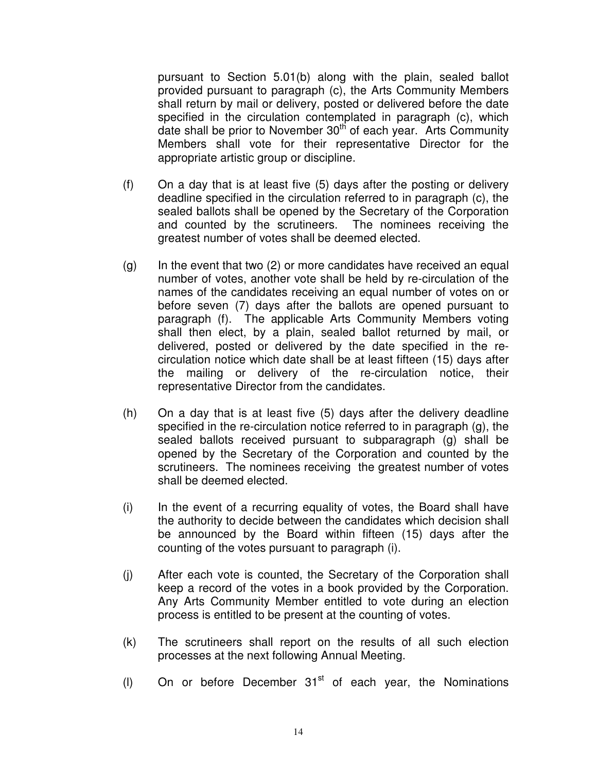pursuant to Section 5.01(b) along with the plain, sealed ballot provided pursuant to paragraph (c), the Arts Community Members shall return by mail or delivery, posted or delivered before the date specified in the circulation contemplated in paragraph (c), which date shall be prior to November 30<sup>th</sup> of each year. Arts Community Members shall vote for their representative Director for the appropriate artistic group or discipline.

- (f) On a day that is at least five (5) days after the posting or delivery deadline specified in the circulation referred to in paragraph (c), the sealed ballots shall be opened by the Secretary of the Corporation and counted by the scrutineers. The nominees receiving the greatest number of votes shall be deemed elected.
- $(q)$  In the event that two  $(2)$  or more candidates have received an equal number of votes, another vote shall be held by re-circulation of the names of the candidates receiving an equal number of votes on or before seven (7) days after the ballots are opened pursuant to paragraph (f). The applicable Arts Community Members voting shall then elect, by a plain, sealed ballot returned by mail, or delivered, posted or delivered by the date specified in the recirculation notice which date shall be at least fifteen (15) days after the mailing or delivery of the re-circulation notice, their representative Director from the candidates.
- (h) On a day that is at least five (5) days after the delivery deadline specified in the re-circulation notice referred to in paragraph (g), the sealed ballots received pursuant to subparagraph (g) shall be opened by the Secretary of the Corporation and counted by the scrutineers. The nominees receiving the greatest number of votes shall be deemed elected.
- (i) In the event of a recurring equality of votes, the Board shall have the authority to decide between the candidates which decision shall be announced by the Board within fifteen (15) days after the counting of the votes pursuant to paragraph (i).
- (j) After each vote is counted, the Secretary of the Corporation shall keep a record of the votes in a book provided by the Corporation. Any Arts Community Member entitled to vote during an election process is entitled to be present at the counting of votes.
- (k) The scrutineers shall report on the results of all such election processes at the next following Annual Meeting.
- (I) On or before December  $31<sup>st</sup>$  of each year, the Nominations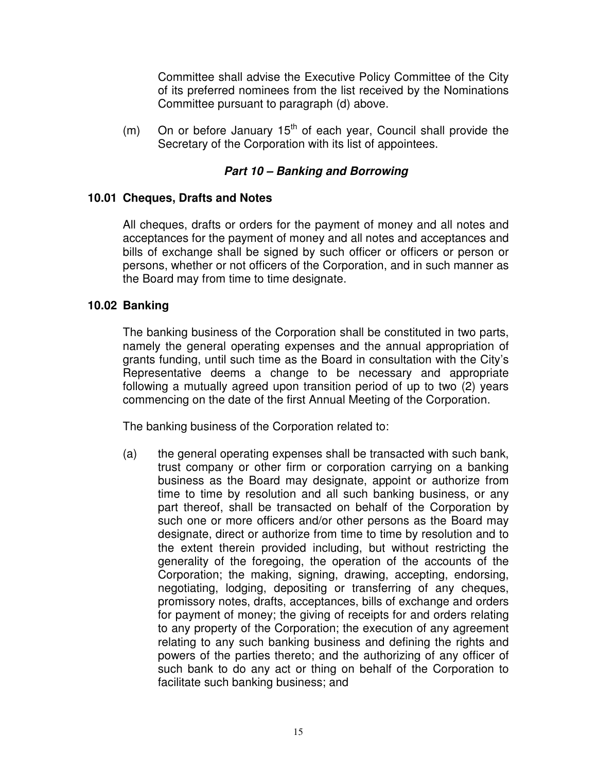Committee shall advise the Executive Policy Committee of the City of its preferred nominees from the list received by the Nominations Committee pursuant to paragraph (d) above.

(m) On or before January  $15<sup>th</sup>$  of each year, Council shall provide the Secretary of the Corporation with its list of appointees.

# **Part 10 – Banking and Borrowing**

## **10.01 Cheques, Drafts and Notes**

All cheques, drafts or orders for the payment of money and all notes and acceptances for the payment of money and all notes and acceptances and bills of exchange shall be signed by such officer or officers or person or persons, whether or not officers of the Corporation, and in such manner as the Board may from time to time designate.

## **10.02 Banking**

The banking business of the Corporation shall be constituted in two parts, namely the general operating expenses and the annual appropriation of grants funding, until such time as the Board in consultation with the City's Representative deems a change to be necessary and appropriate following a mutually agreed upon transition period of up to two (2) years commencing on the date of the first Annual Meeting of the Corporation.

The banking business of the Corporation related to:

(a) the general operating expenses shall be transacted with such bank, trust company or other firm or corporation carrying on a banking business as the Board may designate, appoint or authorize from time to time by resolution and all such banking business, or any part thereof, shall be transacted on behalf of the Corporation by such one or more officers and/or other persons as the Board may designate, direct or authorize from time to time by resolution and to the extent therein provided including, but without restricting the generality of the foregoing, the operation of the accounts of the Corporation; the making, signing, drawing, accepting, endorsing, negotiating, lodging, depositing or transferring of any cheques, promissory notes, drafts, acceptances, bills of exchange and orders for payment of money; the giving of receipts for and orders relating to any property of the Corporation; the execution of any agreement relating to any such banking business and defining the rights and powers of the parties thereto; and the authorizing of any officer of such bank to do any act or thing on behalf of the Corporation to facilitate such banking business; and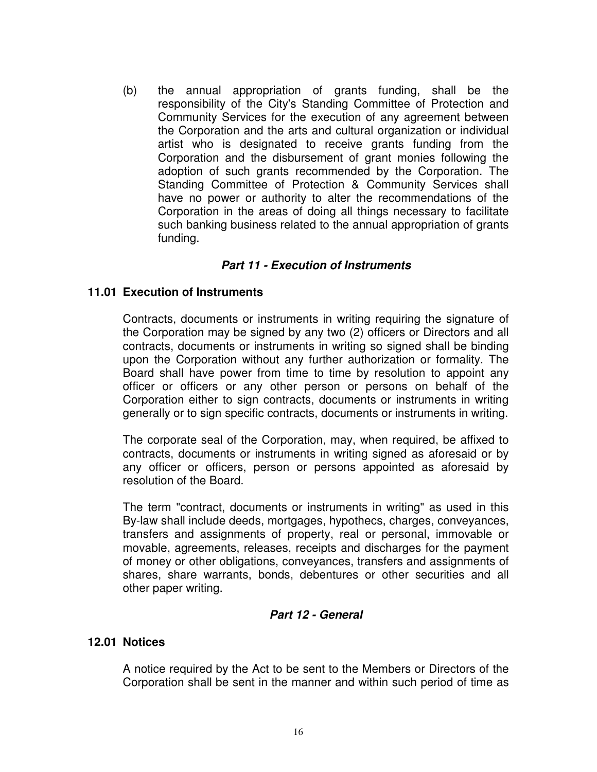(b) the annual appropriation of grants funding, shall be the responsibility of the City's Standing Committee of Protection and Community Services for the execution of any agreement between the Corporation and the arts and cultural organization or individual artist who is designated to receive grants funding from the Corporation and the disbursement of grant monies following the adoption of such grants recommended by the Corporation. The Standing Committee of Protection & Community Services shall have no power or authority to alter the recommendations of the Corporation in the areas of doing all things necessary to facilitate such banking business related to the annual appropriation of grants funding.

## **Part 11 - Execution of Instruments**

### **11.01 Execution of Instruments**

Contracts, documents or instruments in writing requiring the signature of the Corporation may be signed by any two (2) officers or Directors and all contracts, documents or instruments in writing so signed shall be binding upon the Corporation without any further authorization or formality. The Board shall have power from time to time by resolution to appoint any officer or officers or any other person or persons on behalf of the Corporation either to sign contracts, documents or instruments in writing generally or to sign specific contracts, documents or instruments in writing.

The corporate seal of the Corporation, may, when required, be affixed to contracts, documents or instruments in writing signed as aforesaid or by any officer or officers, person or persons appointed as aforesaid by resolution of the Board.

The term "contract, documents or instruments in writing" as used in this By-law shall include deeds, mortgages, hypothecs, charges, conveyances, transfers and assignments of property, real or personal, immovable or movable, agreements, releases, receipts and discharges for the payment of money or other obligations, conveyances, transfers and assignments of shares, share warrants, bonds, debentures or other securities and all other paper writing.

## **Part 12 - General**

#### **12.01 Notices**

A notice required by the Act to be sent to the Members or Directors of the Corporation shall be sent in the manner and within such period of time as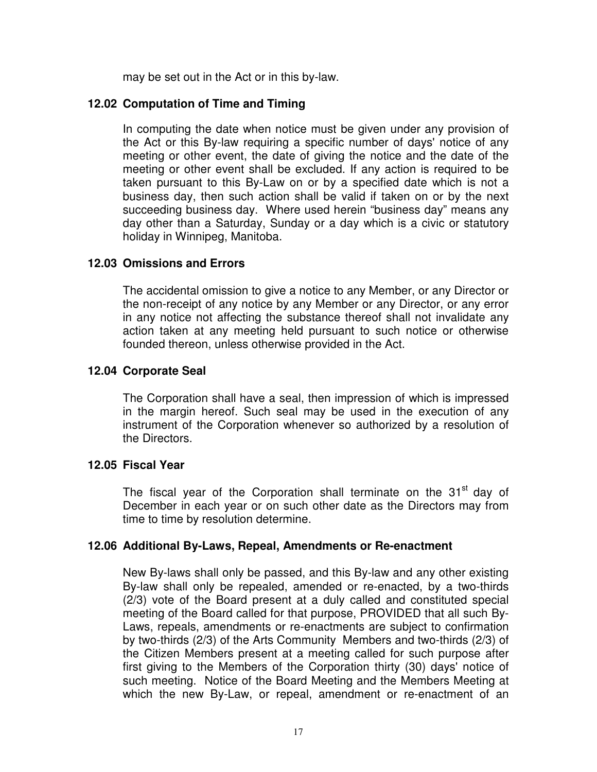may be set out in the Act or in this by-law.

# **12.02 Computation of Time and Timing**

In computing the date when notice must be given under any provision of the Act or this By-law requiring a specific number of days' notice of any meeting or other event, the date of giving the notice and the date of the meeting or other event shall be excluded. If any action is required to be taken pursuant to this By-Law on or by a specified date which is not a business day, then such action shall be valid if taken on or by the next succeeding business day. Where used herein "business day" means any day other than a Saturday, Sunday or a day which is a civic or statutory holiday in Winnipeg, Manitoba.

# **12.03 Omissions and Errors**

The accidental omission to give a notice to any Member, or any Director or the non-receipt of any notice by any Member or any Director, or any error in any notice not affecting the substance thereof shall not invalidate any action taken at any meeting held pursuant to such notice or otherwise founded thereon, unless otherwise provided in the Act.

# **12.04 Corporate Seal**

The Corporation shall have a seal, then impression of which is impressed in the margin hereof. Such seal may be used in the execution of any instrument of the Corporation whenever so authorized by a resolution of the Directors.

## **12.05 Fiscal Year**

The fiscal year of the Corporation shall terminate on the 31<sup>st</sup> day of December in each year or on such other date as the Directors may from time to time by resolution determine.

## **12.06 Additional By-Laws, Repeal, Amendments or Re-enactment**

New By-laws shall only be passed, and this By-law and any other existing By-law shall only be repealed, amended or re-enacted, by a two-thirds (2/3) vote of the Board present at a duly called and constituted special meeting of the Board called for that purpose, PROVIDED that all such By-Laws, repeals, amendments or re-enactments are subject to confirmation by two-thirds (2/3) of the Arts Community Members and two-thirds (2/3) of the Citizen Members present at a meeting called for such purpose after first giving to the Members of the Corporation thirty (30) days' notice of such meeting. Notice of the Board Meeting and the Members Meeting at which the new By-Law, or repeal, amendment or re-enactment of an